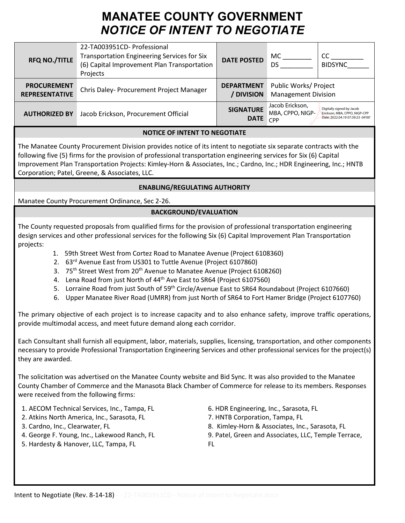# **MANATEE COUNTY GOVERNMENT** *NOTICE OF INTENT TO NEGOTIATE*

| <b>RFQ NO./TITLE</b>                        | 22-TA003951CD- Professional<br><b>Transportation Engineering Services for Six</b><br>(6) Capital Improvement Plan Transportation<br>Projects | <b>DATE POSTED</b>              | MC.<br>DS                                           | CC<br><b>BIDSYNC</b>                                                                            |
|---------------------------------------------|----------------------------------------------------------------------------------------------------------------------------------------------|---------------------------------|-----------------------------------------------------|-------------------------------------------------------------------------------------------------|
| <b>PROCUREMENT</b><br><b>REPRESENTATIVE</b> | Chris Daley- Procurement Project Manager                                                                                                     | <b>DEPARTMENT</b><br>/ DIVISION | Public Works/ Project<br><b>Management Division</b> |                                                                                                 |
| <b>AUTHORIZED BY</b>                        | Jacob Erickson, Procurement Official                                                                                                         | <b>SIGNATURE</b><br><b>DATE</b> | Jacob Erickson,<br>MBA, CPPO, NIGP-<br>CPP          | Digitally signed by Jacob<br>Erickson, MBA, CPPO, NIGP-CPP<br>Date: 2022.04.19 07:39:23 -04'00' |

## **NOTICE OF INTENT TO NEGOTIATE**

The Manatee County Procurement Division provides notice of its intent to negotiate six separate contracts with the following five (5) firms for the provision of professional transportation engineering services for Six (6) Capital Improvement Plan Transportation Projects: Kimley-Horn & Associates, Inc.; Cardno, Inc.; HDR Engineering, Inc.; HNTB Corporation; Patel, Greene, & Associates, LLC.

#### **ENABLING/REGULATING AUTHORITY**

Manatee County Procurement Ordinance, Sec 2-26.

## **BACKGROUND/EVALUATION**

The County requested proposals from qualified firms for the provision of professional transportation engineering design services and other professional services for the following Six (6) Capital Improvement Plan Transportation projects:

- 1. 59th Street West from Cortez Road to Manatee Avenue (Project 6108360)
- 2. 63<sup>rd</sup> Avenue East from US301 to Tuttle Avenue (Project 6107860)
- 3. 75<sup>th</sup> Street West from 20<sup>th</sup> Avenue to Manatee Avenue (Project 6108260)
- 4. Lena Road from just North of 44<sup>th</sup> Ave East to SR64 (Project 6107560)
- 5. Lorraine Road from just South of 59<sup>th</sup> Circle/Avenue East to SR64 Roundabout (Project 6107660)
- 6. Upper Manatee River Road (UMRR) from just North of SR64 to Fort Hamer Bridge (Project 6107760)

The primary objective of each project is to increase capacity and to also enhance safety, improve traffic operations, provide multimodal access, and meet future demand along each corridor.

Each Consultant shall furnish all equipment, labor, materials, supplies, licensing, transportation, and other components necessary to provide Professional Transportation Engineering Services and other professional services for the project(s) they are awarded.

The solicitation was advertised on the Manatee County website and Bid Sync. It was also provided to the Manatee County Chamber of Commerce and the Manasota Black Chamber of Commerce for release to its members. Responses were received from the following firms:

- 1. AECOM Technical Services, Inc., Tampa, FL
- 2. Atkins North America, Inc., Sarasota, FL
- 3. Cardno, Inc., Clearwater, FL
- 4. George F. Young, Inc., Lakewood Ranch, FL
- 5. Hardesty & Hanover, LLC, Tampa, FL
- 6. HDR Engineering, Inc., Sarasota, FL
- 7. HNTB Corporation, Tampa, FL
- 8. Kimley-Horn & Associates, Inc., Sarasota, FL
- 9. Patel, Green and Associates, LLC, Temple Terrace,
- FL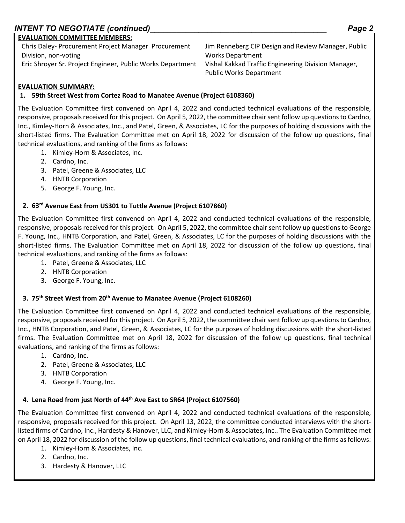# *INTENT TO NEGOTIATE (continued)\_\_\_\_\_\_\_\_\_\_\_\_\_\_\_\_\_\_\_\_\_\_\_\_\_\_\_\_\_\_\_\_\_\_\_\_\_\_\_\_ Page 2*

#### **EVALUATION COMMITTEE MEMBERS:**

Chris Daley- Procurement Project Manager Procurement Division, non-voting Eric Shroyer Sr. Project Engineer, Public Works Department Vishal Kakkad Traffic Engineering Division Manager,

Jim Renneberg CIP Design and Review Manager, Public Works Department Public Works Department

# **EVALUATION SUMMARY:**

# **1. 59th Street West from Cortez Road to Manatee Avenue (Project 6108360)**

The Evaluation Committee first convened on April 4, 2022 and conducted technical evaluations of the responsible, responsive, proposals received for this project. On April 5, 2022, the committee chair sent follow up questions to Cardno, Inc., Kimley-Horn & Associates, Inc., and Patel, Green, & Associates, LC for the purposes of holding discussions with the short-listed firms. The Evaluation Committee met on April 18, 2022 for discussion of the follow up questions, final technical evaluations, and ranking of the firms as follows:

- 1. Kimley-Horn & Associates, Inc.
- 2. Cardno, Inc.
- 3. Patel, Greene & Associates, LLC
- 4. HNTB Corporation
- 5. George F. Young, Inc.

## **2. 63rd Avenue East from US301 to Tuttle Avenue (Project 6107860)**

The Evaluation Committee first convened on April 4, 2022 and conducted technical evaluations of the responsible, responsive, proposals received for this project. On April 5, 2022, the committee chair sent follow up questions to George F. Young, Inc., HNTB Corporation, and Patel, Green, & Associates, LC for the purposes of holding discussions with the short-listed firms. The Evaluation Committee met on April 18, 2022 for discussion of the follow up questions, final technical evaluations, and ranking of the firms as follows:

- 1. Patel, Greene & Associates, LLC
- 2. HNTB Corporation
- 3. George F. Young, Inc.

# **3. 75th Street West from 20th Avenue to Manatee Avenue (Project 6108260)**

The Evaluation Committee first convened on April 4, 2022 and conducted technical evaluations of the responsible, responsive, proposals received for this project. On April 5, 2022, the committee chair sent follow up questions to Cardno, Inc., HNTB Corporation, and Patel, Green, & Associates, LC for the purposes of holding discussions with the short-listed firms. The Evaluation Committee met on April 18, 2022 for discussion of the follow up questions, final technical evaluations, and ranking of the firms as follows:

- 1. Cardno, Inc.
- 2. Patel, Greene & Associates, LLC
- 3. HNTB Corporation
- 4. George F. Young, Inc.

#### **4. Lena Road from just North of 44th Ave East to SR64 (Project 6107560)**

The Evaluation Committee first convened on April 4, 2022 and conducted technical evaluations of the responsible, responsive, proposals received for this project. On April 13, 2022, the committee conducted interviews with the shortlisted firms of Cardno, Inc., Hardesty & Hanover, LLC, and Kimley-Horn & Associates, Inc.. The Evaluation Committee met on April 18, 2022 for discussion of the follow up questions, final technical evaluations, and ranking of the firms as follows:

- 1. Kimley-Horn & Associates, Inc.
- 2. Cardno, Inc.
- 3. Hardesty & Hanover, LLC